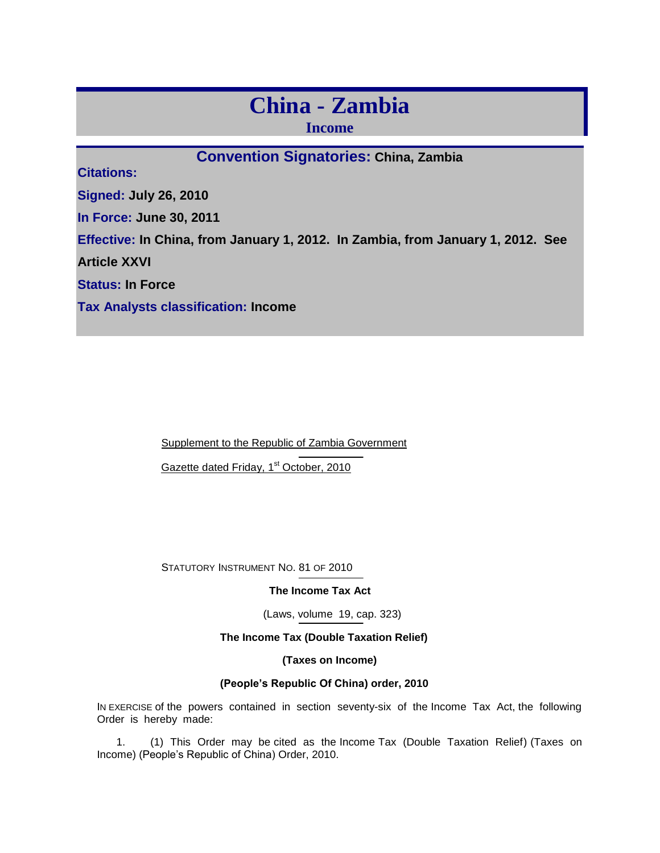# **China - Zambia**

**Income**

**Convention Signatories: China, Zambia**

**Citations:** 

**Signed: July 26, 2010**

**In Force: June 30, 2011**

**Effective: In China, from January 1, 2012. In Zambia, from January 1, 2012. See** 

**Article XXVI** 

**Status: In Force**

**Tax Analysts classification: Income**

Supplement to the Republic of Zambia Government

Gazette dated Friday, 1<sup>st</sup> October, 2010

STATUTORY INSTRUMENT NO. 81 OF 2010

# **The Income Tax Act**

(Laws, volume 19, cap. 323)

# **The Income Tax (Double Taxation Relief)**

**(Taxes on Income)**

## **(People's Republic Of China) order, 2010**

IN EXERCISE of the powers contained in section seventy-six of the Income Tax Act, the following Order is hereby made:

1. (1) This Order may be cited as the Income Tax (Double Taxation Relief) (Taxes on Income) (People's Republic of China) Order, 2010.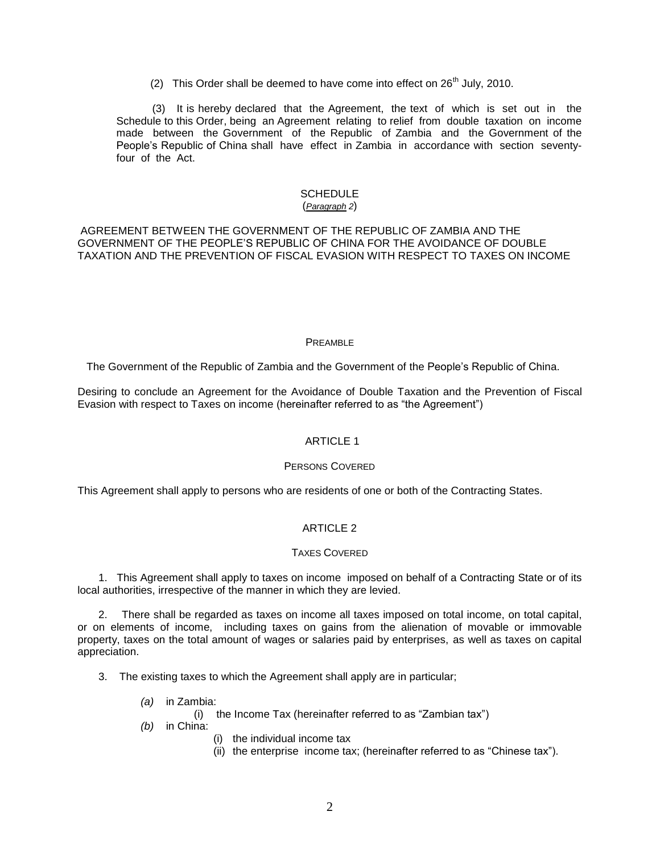(2) This Order shall be deemed to have come into effect on  $26<sup>th</sup>$  July, 2010.

 (3) It is hereby declared that the Agreement, the text of which is set out in the Schedule to this Order, being an Agreement relating to relief from double taxation on income made between the Government of the Republic of Zambia and the Government of the People's Republic of China shall have effect in Zambia in accordance with section seventyfour of the Act.

# **SCHEDULE**

## (*Paragraph 2*)

## AGREEMENT BETWEEN THE GOVERNMENT OF THE REPUBLIC OF ZAMBIA AND THE GOVERNMENT OF THE PEOPLE'S REPUBLIC OF CHINA FOR THE AVOIDANCE OF DOUBLE TAXATION AND THE PREVENTION OF FISCAL EVASION WITH RESPECT TO TAXES ON INCOME

#### PREAMBLE

The Government of the Republic of Zambia and the Government of the People's Republic of China.

Desiring to conclude an Agreement for the Avoidance of Double Taxation and the Prevention of Fiscal Evasion with respect to Taxes on income (hereinafter referred to as "the Agreement")

## ARTICLE 1

#### **PERSONS COVERED**

This Agreement shall apply to persons who are residents of one or both of the Contracting States.

## ARTICLE 2

## TAXES COVERED

 1. This Agreement shall apply to taxes on income imposed on behalf of a Contracting State or of its local authorities, irrespective of the manner in which they are levied.

 2. There shall be regarded as taxes on income all taxes imposed on total income, on total capital, or on elements of income, including taxes on gains from the alienation of movable or immovable property, taxes on the total amount of wages or salaries paid by enterprises, as well as taxes on capital appreciation.

3. The existing taxes to which the Agreement shall apply are in particular;

*(a)* in Zambia:

(i) the Income Tax (hereinafter referred to as "Zambian tax")

- *(b)* in China:
	- (i) the individual income tax
	- (ii) the enterprise income tax; (hereinafter referred to as "Chinese tax").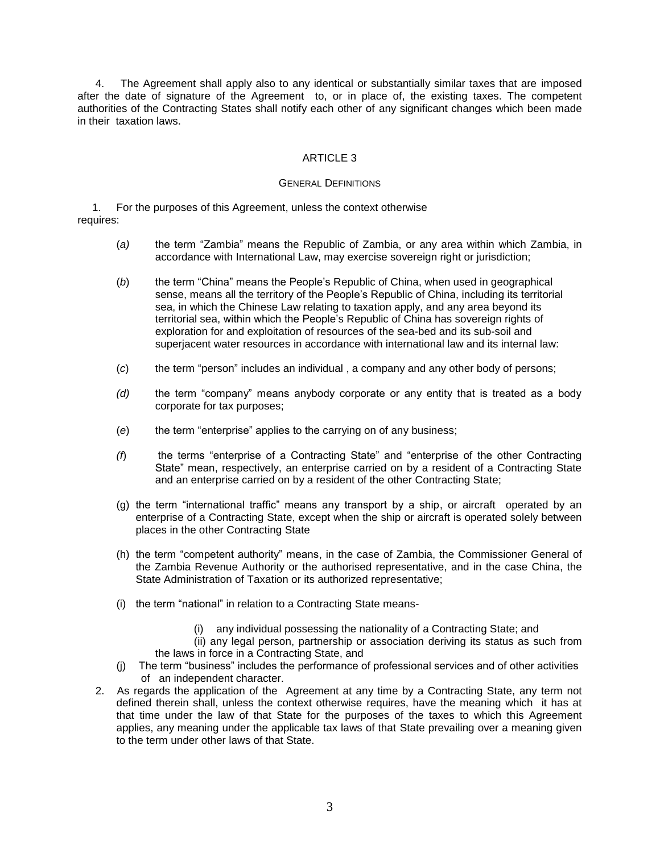4. The Agreement shall apply also to any identical or substantially similar taxes that are imposed after the date of signature of the Agreement to, or in place of, the existing taxes. The competent authorities of the Contracting States shall notify each other of any significant changes which been made in their taxation laws.

## ARTICLE 3

#### GENERAL DEFINITIONS

1. For the purposes of this Agreement, unless the context otherwise requires:

- (*a)* the term "Zambia" means the Republic of Zambia, or any area within which Zambia, in accordance with International Law, may exercise sovereign right or jurisdiction;
- (*b*) the term "China" means the People's Republic of China, when used in geographical sense, means all the territory of the People's Republic of China, including its territorial sea, in which the Chinese Law relating to taxation apply, and any area beyond its territorial sea, within which the People's Republic of China has sovereign rights of exploration for and exploitation of resources of the sea-bed and its sub-soil and superjacent water resources in accordance with international law and its internal law:
- (*c*) the term "person" includes an individual , a company and any other body of persons;
- *(d)* the term "company" means anybody corporate or any entity that is treated as a body corporate for tax purposes;
- (*e*) the term "enterprise" applies to the carrying on of any business;
- *(f*) the terms "enterprise of a Contracting State" and "enterprise of the other Contracting State" mean, respectively, an enterprise carried on by a resident of a Contracting State and an enterprise carried on by a resident of the other Contracting State;
- (g) the term "international traffic" means any transport by a ship, or aircraft operated by an enterprise of a Contracting State, except when the ship or aircraft is operated solely between places in the other Contracting State
- (h) the term "competent authority" means, in the case of Zambia, the Commissioner General of the Zambia Revenue Authority or the authorised representative, and in the case China, the State Administration of Taxation or its authorized representative;
- (i) the term "national" in relation to a Contracting State means-
	- (i) any individual possessing the nationality of a Contracting State; and
	- (ii) any legal person, partnership or association deriving its status as such from the laws in force in a Contracting State, and
- (j) The term "business" includes the performance of professional services and of other activities of an independent character.
- 2. As regards the application of the Agreement at any time by a Contracting State, any term not defined therein shall, unless the context otherwise requires, have the meaning which it has at that time under the law of that State for the purposes of the taxes to which this Agreement applies, any meaning under the applicable tax laws of that State prevailing over a meaning given to the term under other laws of that State.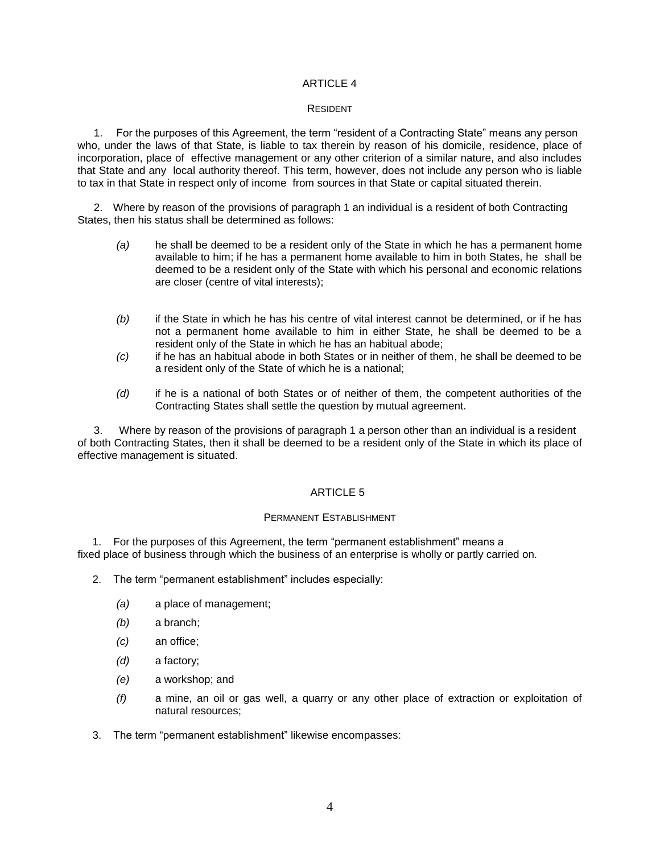#### **ARTICLE 4**

#### RESIDENT

1. For the purposes of this Agreement, the term "resident of a Contracting State" means any person who, under the laws of that State, is liable to tax therein by reason of his domicile, residence, place of incorporation, place of effective management or any other criterion of a similar nature, and also includes that State and any local authority thereof. This term, however, does not include any person who is liable to tax in that State in respect only of income from sources in that State or capital situated therein.

2. Where by reason of the provisions of paragraph 1 an individual is a resident of both Contracting States, then his status shall be determined as follows:

- *(a)* he shall be deemed to be a resident only of the State in which he has a permanent home available to him; if he has a permanent home available to him in both States, he shall be deemed to be a resident only of the State with which his personal and economic relations are closer (centre of vital interests);
- *(b)* if the State in which he has his centre of vital interest cannot be determined, or if he has not a permanent home available to him in either State, he shall be deemed to be a resident only of the State in which he has an habitual abode;
- *(c)* if he has an habitual abode in both States or in neither of them, he shall be deemed to be a resident only of the State of which he is a national;
- *(d)* if he is a national of both States or of neither of them, the competent authorities of the Contracting States shall settle the question by mutual agreement.

3. Where by reason of the provisions of paragraph 1 a person other than an individual is a resident of both Contracting States, then it shall be deemed to be a resident only of the State in which its place of effective management is situated.

## ARTICLE 5

#### PERMANENT ESTABLISHMENT

 1. For the purposes of this Agreement, the term "permanent establishment" means a fixed place of business through which the business of an enterprise is wholly or partly carried on.

- 2. The term "permanent establishment" includes especially:
	- *(a)* a place of management;
	- *(b)* a branch;
	- *(c)* an office;
	- *(d)* a factory;
	- *(e)* a workshop; and
	- *(f)* a mine, an oil or gas well, a quarry or any other place of extraction or exploitation of natural resources;
- 3. The term "permanent establishment" likewise encompasses: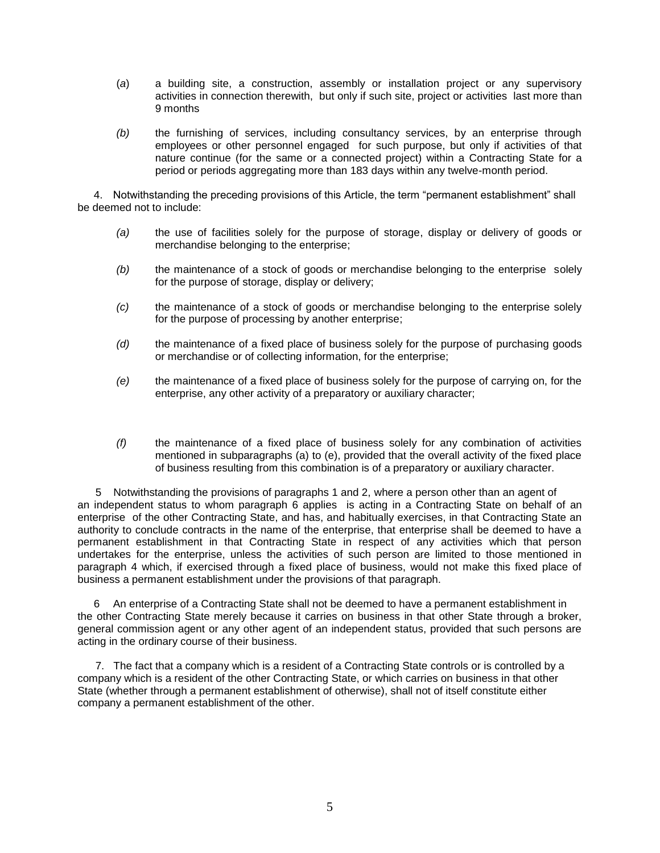- (*a*) a building site, a construction, assembly or installation project or any supervisory activities in connection therewith, but only if such site, project or activities last more than 9 months
- *(b)* the furnishing of services, including consultancy services, by an enterprise through employees or other personnel engaged for such purpose, but only if activities of that nature continue (for the same or a connected project) within a Contracting State for a period or periods aggregating more than 183 days within any twelve-month period.

4. Notwithstanding the preceding provisions of this Article, the term "permanent establishment" shall be deemed not to include:

- *(a)* the use of facilities solely for the purpose of storage, display or delivery of goods or merchandise belonging to the enterprise;
- *(b)* the maintenance of a stock of goods or merchandise belonging to the enterprise solely for the purpose of storage, display or delivery;
- *(c)* the maintenance of a stock of goods or merchandise belonging to the enterprise solely for the purpose of processing by another enterprise;
- *(d)* the maintenance of a fixed place of business solely for the purpose of purchasing goods or merchandise or of collecting information, for the enterprise;
- *(e)* the maintenance of a fixed place of business solely for the purpose of carrying on, for the enterprise, any other activity of a preparatory or auxiliary character;
- *(f)* the maintenance of a fixed place of business solely for any combination of activities mentioned in subparagraphs (a) to (e), provided that the overall activity of the fixed place of business resulting from this combination is of a preparatory or auxiliary character.

 5 Notwithstanding the provisions of paragraphs 1 and 2, where a person other than an agent of an independent status to whom paragraph 6 applies is acting in a Contracting State on behalf of an enterprise of the other Contracting State, and has, and habitually exercises, in that Contracting State an authority to conclude contracts in the name of the enterprise, that enterprise shall be deemed to have a permanent establishment in that Contracting State in respect of any activities which that person undertakes for the enterprise, unless the activities of such person are limited to those mentioned in paragraph 4 which, if exercised through a fixed place of business, would not make this fixed place of business a permanent establishment under the provisions of that paragraph.

6 An enterprise of a Contracting State shall not be deemed to have a permanent establishment in the other Contracting State merely because it carries on business in that other State through a broker, general commission agent or any other agent of an independent status, provided that such persons are acting in the ordinary course of their business.

 7. The fact that a company which is a resident of a Contracting State controls or is controlled by a company which is a resident of the other Contracting State, or which carries on business in that other State (whether through a permanent establishment of otherwise), shall not of itself constitute either company a permanent establishment of the other.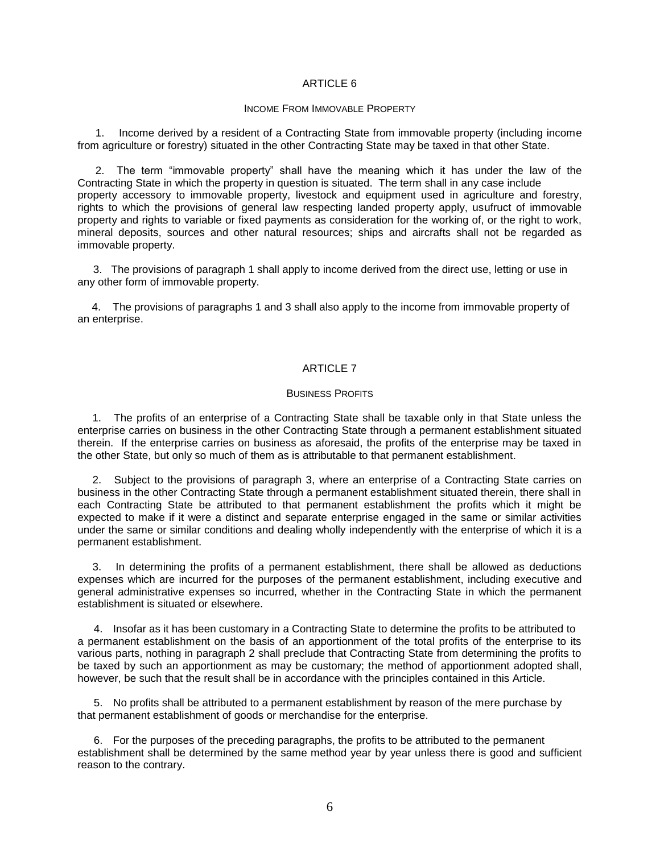## **ARTICLE 6**

#### INCOME FROM IMMOVABLE PROPERTY

 1. Income derived by a resident of a Contracting State from immovable property (including income from agriculture or forestry) situated in the other Contracting State may be taxed in that other State.

 2. The term "immovable property" shall have the meaning which it has under the law of the Contracting State in which the property in question is situated. The term shall in any case include property accessory to immovable property, livestock and equipment used in agriculture and forestry, rights to which the provisions of general law respecting landed property apply, usufruct of immovable property and rights to variable or fixed payments as consideration for the working of, or the right to work, mineral deposits, sources and other natural resources; ships and aircrafts shall not be regarded as immovable property.

 3. The provisions of paragraph 1 shall apply to income derived from the direct use, letting or use in any other form of immovable property.

4. The provisions of paragraphs 1 and 3 shall also apply to the income from immovable property of an enterprise.

## ARTICLE 7

#### BUSINESS PROFITS

 1. The profits of an enterprise of a Contracting State shall be taxable only in that State unless the enterprise carries on business in the other Contracting State through a permanent establishment situated therein. If the enterprise carries on business as aforesaid, the profits of the enterprise may be taxed in the other State, but only so much of them as is attributable to that permanent establishment.

 2. Subject to the provisions of paragraph 3, where an enterprise of a Contracting State carries on business in the other Contracting State through a permanent establishment situated therein, there shall in each Contracting State be attributed to that permanent establishment the profits which it might be expected to make if it were a distinct and separate enterprise engaged in the same or similar activities under the same or similar conditions and dealing wholly independently with the enterprise of which it is a permanent establishment.

 3. In determining the profits of a permanent establishment, there shall be allowed as deductions expenses which are incurred for the purposes of the permanent establishment, including executive and general administrative expenses so incurred, whether in the Contracting State in which the permanent establishment is situated or elsewhere.

4. Insofar as it has been customary in a Contracting State to determine the profits to be attributed to a permanent establishment on the basis of an apportionment of the total profits of the enterprise to its various parts, nothing in paragraph 2 shall preclude that Contracting State from determining the profits to be taxed by such an apportionment as may be customary; the method of apportionment adopted shall, however, be such that the result shall be in accordance with the principles contained in this Article.

5. No profits shall be attributed to a permanent establishment by reason of the mere purchase by that permanent establishment of goods or merchandise for the enterprise.

6. For the purposes of the preceding paragraphs, the profits to be attributed to the permanent establishment shall be determined by the same method year by year unless there is good and sufficient reason to the contrary.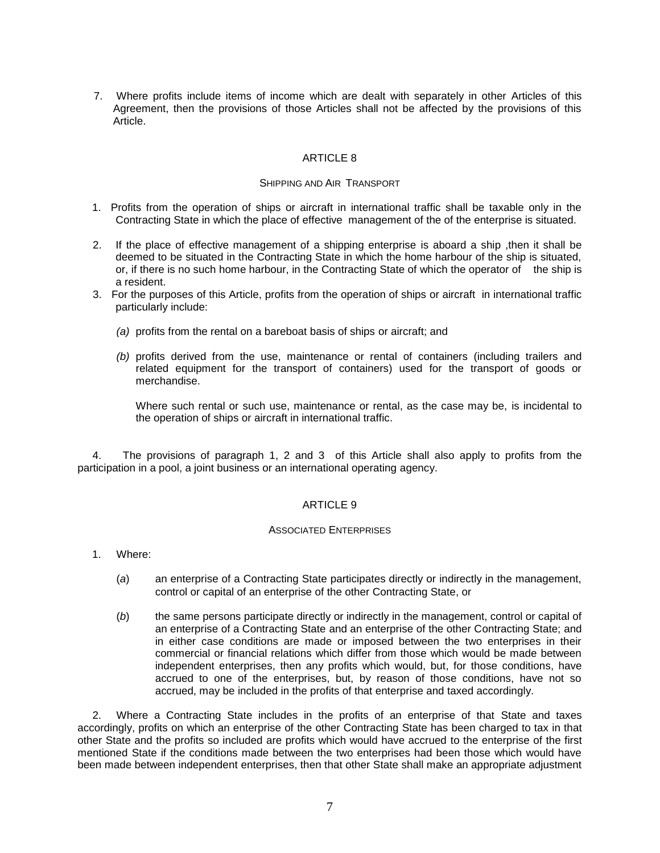7. Where profits include items of income which are dealt with separately in other Articles of this Agreement, then the provisions of those Articles shall not be affected by the provisions of this Article.

## ARTICLE 8

#### SHIPPING AND AIR TRANSPORT

- 1. Profits from the operation of ships or aircraft in international traffic shall be taxable only in the Contracting State in which the place of effective management of the of the enterprise is situated.
- 2. If the place of effective management of a shipping enterprise is aboard a ship ,then it shall be deemed to be situated in the Contracting State in which the home harbour of the ship is situated, or, if there is no such home harbour, in the Contracting State of which the operator of the ship is a resident.
- 3. For the purposes of this Article, profits from the operation of ships or aircraft in international traffic particularly include:
	- *(a)* profits from the rental on a bareboat basis of ships or aircraft; and
	- *(b)* profits derived from the use, maintenance or rental of containers (including trailers and related equipment for the transport of containers) used for the transport of goods or merchandise.

Where such rental or such use, maintenance or rental, as the case may be, is incidental to the operation of ships or aircraft in international traffic.

 4. The provisions of paragraph 1, 2 and 3 of this Article shall also apply to profits from the participation in a pool, a joint business or an international operating agency.

## ARTICLE 9

#### ASSOCIATED ENTERPRISES

- 1. Where:
	- (*a*) an enterprise of a Contracting State participates directly or indirectly in the management, control or capital of an enterprise of the other Contracting State, or
	- (*b*) the same persons participate directly or indirectly in the management, control or capital of an enterprise of a Contracting State and an enterprise of the other Contracting State; and in either case conditions are made or imposed between the two enterprises in their commercial or financial relations which differ from those which would be made between independent enterprises, then any profits which would, but, for those conditions, have accrued to one of the enterprises, but, by reason of those conditions, have not so accrued, may be included in the profits of that enterprise and taxed accordingly.

 2. Where a Contracting State includes in the profits of an enterprise of that State and taxes accordingly, profits on which an enterprise of the other Contracting State has been charged to tax in that other State and the profits so included are profits which would have accrued to the enterprise of the first mentioned State if the conditions made between the two enterprises had been those which would have been made between independent enterprises, then that other State shall make an appropriate adjustment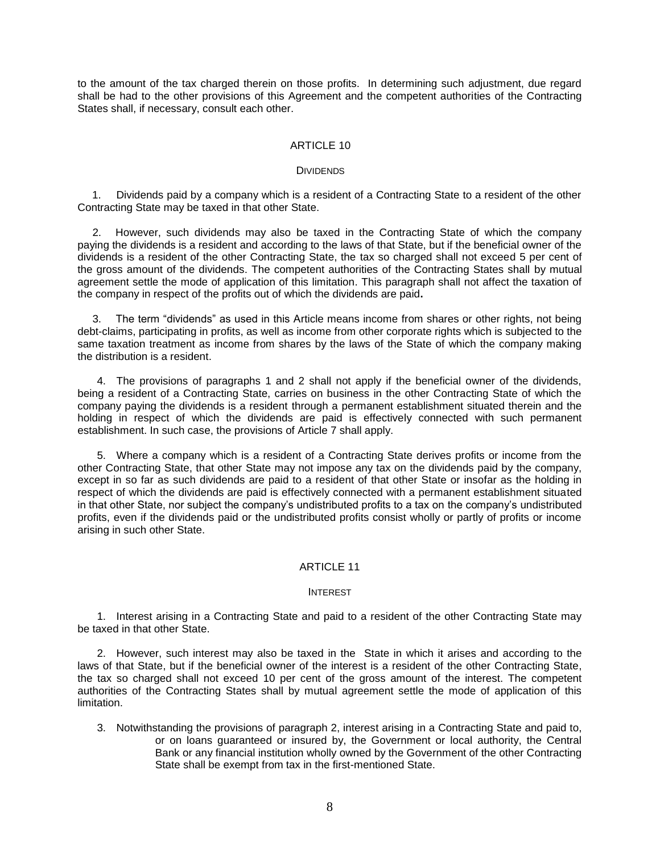to the amount of the tax charged therein on those profits. In determining such adjustment, due regard shall be had to the other provisions of this Agreement and the competent authorities of the Contracting States shall, if necessary, consult each other.

## ARTICLE 10

#### **DIVIDENDS**

1. Dividends paid by a company which is a resident of a Contracting State to a resident of the other Contracting State may be taxed in that other State.

 2. However, such dividends may also be taxed in the Contracting State of which the company paying the dividends is a resident and according to the laws of that State, but if the beneficial owner of the dividends is a resident of the other Contracting State, the tax so charged shall not exceed 5 per cent of the gross amount of the dividends. The competent authorities of the Contracting States shall by mutual agreement settle the mode of application of this limitation. This paragraph shall not affect the taxation of the company in respect of the profits out of which the dividends are paid**.**

 3. The term "dividends" as used in this Article means income from shares or other rights, not being debt-claims, participating in profits, as well as income from other corporate rights which is subjected to the same taxation treatment as income from shares by the laws of the State of which the company making the distribution is a resident.

4. The provisions of paragraphs 1 and 2 shall not apply if the beneficial owner of the dividends, being a resident of a Contracting State, carries on business in the other Contracting State of which the company paying the dividends is a resident through a permanent establishment situated therein and the holding in respect of which the dividends are paid is effectively connected with such permanent establishment. In such case, the provisions of Article 7 shall apply.

5. Where a company which is a resident of a Contracting State derives profits or income from the other Contracting State, that other State may not impose any tax on the dividends paid by the company, except in so far as such dividends are paid to a resident of that other State or insofar as the holding in respect of which the dividends are paid is effectively connected with a permanent establishment situated in that other State, nor subject the company's undistributed profits to a tax on the company's undistributed profits, even if the dividends paid or the undistributed profits consist wholly or partly of profits or income arising in such other State.

## **ARTICLE 11**

#### INTEREST

1. Interest arising in a Contracting State and paid to a resident of the other Contracting State may be taxed in that other State.

2. However, such interest may also be taxed in the State in which it arises and according to the laws of that State, but if the beneficial owner of the interest is a resident of the other Contracting State, the tax so charged shall not exceed 10 per cent of the gross amount of the interest. The competent authorities of the Contracting States shall by mutual agreement settle the mode of application of this limitation.

3. Notwithstanding the provisions of paragraph 2, interest arising in a Contracting State and paid to, or on loans guaranteed or insured by, the Government or local authority, the Central Bank or any financial institution wholly owned by the Government of the other Contracting State shall be exempt from tax in the first-mentioned State.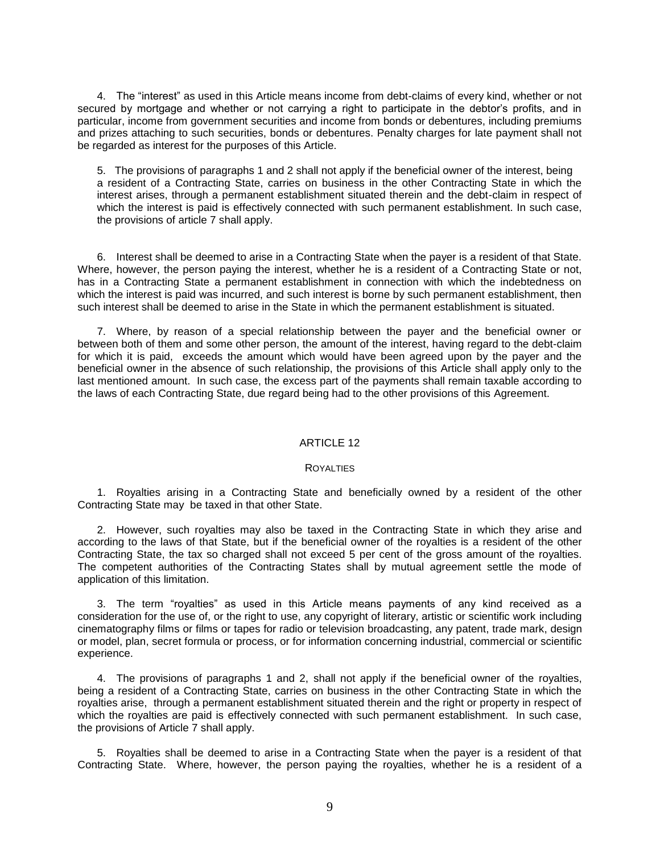4. The "interest" as used in this Article means income from debt-claims of every kind, whether or not secured by mortgage and whether or not carrying a right to participate in the debtor's profits, and in particular, income from government securities and income from bonds or debentures, including premiums and prizes attaching to such securities, bonds or debentures. Penalty charges for late payment shall not be regarded as interest for the purposes of this Article.

5. The provisions of paragraphs 1 and 2 shall not apply if the beneficial owner of the interest, being a resident of a Contracting State, carries on business in the other Contracting State in which the interest arises, through a permanent establishment situated therein and the debt-claim in respect of which the interest is paid is effectively connected with such permanent establishment. In such case, the provisions of article 7 shall apply.

6. Interest shall be deemed to arise in a Contracting State when the payer is a resident of that State. Where, however, the person paying the interest, whether he is a resident of a Contracting State or not, has in a Contracting State a permanent establishment in connection with which the indebtedness on which the interest is paid was incurred, and such interest is borne by such permanent establishment, then such interest shall be deemed to arise in the State in which the permanent establishment is situated.

7. Where, by reason of a special relationship between the payer and the beneficial owner or between both of them and some other person, the amount of the interest, having regard to the debt-claim for which it is paid, exceeds the amount which would have been agreed upon by the payer and the beneficial owner in the absence of such relationship, the provisions of this Article shall apply only to the last mentioned amount. In such case, the excess part of the payments shall remain taxable according to the laws of each Contracting State, due regard being had to the other provisions of this Agreement.

## ARTICLE 12

#### **ROYALTIES**

1. Royalties arising in a Contracting State and beneficially owned by a resident of the other Contracting State may be taxed in that other State.

2. However, such royalties may also be taxed in the Contracting State in which they arise and according to the laws of that State, but if the beneficial owner of the royalties is a resident of the other Contracting State, the tax so charged shall not exceed 5 per cent of the gross amount of the royalties. The competent authorities of the Contracting States shall by mutual agreement settle the mode of application of this limitation.

3. The term "royalties" as used in this Article means payments of any kind received as a consideration for the use of, or the right to use, any copyright of literary, artistic or scientific work including cinematography films or films or tapes for radio or television broadcasting, any patent, trade mark, design or model, plan, secret formula or process, or for information concerning industrial, commercial or scientific experience.

4. The provisions of paragraphs 1 and 2, shall not apply if the beneficial owner of the royalties, being a resident of a Contracting State, carries on business in the other Contracting State in which the royalties arise, through a permanent establishment situated therein and the right or property in respect of which the royalties are paid is effectively connected with such permanent establishment. In such case, the provisions of Article 7 shall apply.

5. Royalties shall be deemed to arise in a Contracting State when the payer is a resident of that Contracting State. Where, however, the person paying the royalties, whether he is a resident of a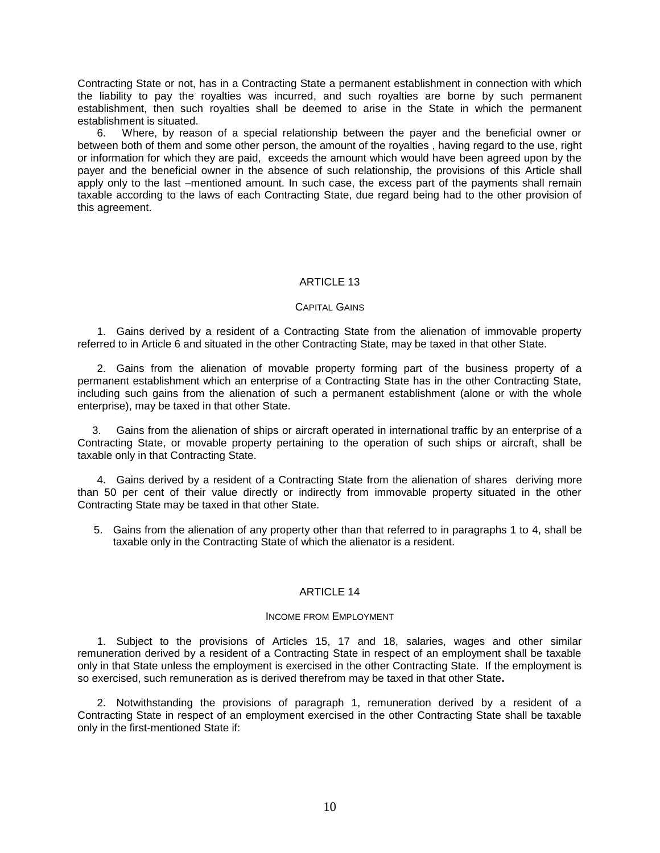Contracting State or not, has in a Contracting State a permanent establishment in connection with which the liability to pay the royalties was incurred, and such royalties are borne by such permanent establishment, then such royalties shall be deemed to arise in the State in which the permanent establishment is situated.

6. Where, by reason of a special relationship between the payer and the beneficial owner or between both of them and some other person, the amount of the royalties , having regard to the use, right or information for which they are paid, exceeds the amount which would have been agreed upon by the payer and the beneficial owner in the absence of such relationship, the provisions of this Article shall apply only to the last –mentioned amount. In such case, the excess part of the payments shall remain taxable according to the laws of each Contracting State, due regard being had to the other provision of this agreement.

#### ARTICLE 13

#### CAPITAL GAINS

1. Gains derived by a resident of a Contracting State from the alienation of immovable property referred to in Article 6 and situated in the other Contracting State, may be taxed in that other State.

2. Gains from the alienation of movable property forming part of the business property of a permanent establishment which an enterprise of a Contracting State has in the other Contracting State, including such gains from the alienation of such a permanent establishment (alone or with the whole enterprise), may be taxed in that other State.

3. Gains from the alienation of ships or aircraft operated in international traffic by an enterprise of a Contracting State, or movable property pertaining to the operation of such ships or aircraft, shall be taxable only in that Contracting State.

4. Gains derived by a resident of a Contracting State from the alienation of shares deriving more than 50 per cent of their value directly or indirectly from immovable property situated in the other Contracting State may be taxed in that other State.

5. Gains from the alienation of any property other than that referred to in paragraphs 1 to 4, shall be taxable only in the Contracting State of which the alienator is a resident.

## ARTICLE 14

#### INCOME FROM EMPLOYMENT

1. Subject to the provisions of Articles 15, 17 and 18, salaries, wages and other similar remuneration derived by a resident of a Contracting State in respect of an employment shall be taxable only in that State unless the employment is exercised in the other Contracting State. If the employment is so exercised, such remuneration as is derived therefrom may be taxed in that other State**.**

2. Notwithstanding the provisions of paragraph 1, remuneration derived by a resident of a Contracting State in respect of an employment exercised in the other Contracting State shall be taxable only in the first-mentioned State if: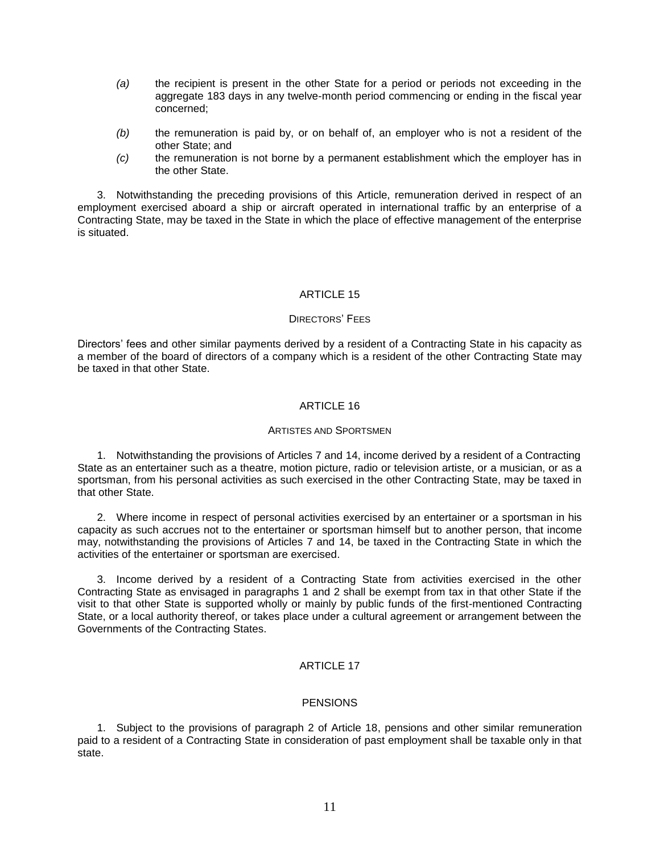- *(a)* the recipient is present in the other State for a period or periods not exceeding in the aggregate 183 days in any twelve-month period commencing or ending in the fiscal year concerned;
- *(b)* the remuneration is paid by, or on behalf of, an employer who is not a resident of the other State; and
- *(c)* the remuneration is not borne by a permanent establishment which the employer has in the other State.

3. Notwithstanding the preceding provisions of this Article, remuneration derived in respect of an employment exercised aboard a ship or aircraft operated in international traffic by an enterprise of a Contracting State, may be taxed in the State in which the place of effective management of the enterprise is situated.

## ARTICLE 15

## DIRECTORS' FEES

Directors' fees and other similar payments derived by a resident of a Contracting State in his capacity as a member of the board of directors of a company which is a resident of the other Contracting State may be taxed in that other State.

## ARTICLE 16

## ARTISTES AND SPORTSMEN

1. Notwithstanding the provisions of Articles 7 and 14, income derived by a resident of a Contracting State as an entertainer such as a theatre, motion picture, radio or television artiste, or a musician, or as a sportsman, from his personal activities as such exercised in the other Contracting State, may be taxed in that other State.

2. Where income in respect of personal activities exercised by an entertainer or a sportsman in his capacity as such accrues not to the entertainer or sportsman himself but to another person, that income may, notwithstanding the provisions of Articles 7 and 14, be taxed in the Contracting State in which the activities of the entertainer or sportsman are exercised.

3. Income derived by a resident of a Contracting State from activities exercised in the other Contracting State as envisaged in paragraphs 1 and 2 shall be exempt from tax in that other State if the visit to that other State is supported wholly or mainly by public funds of the first-mentioned Contracting State, or a local authority thereof, or takes place under a cultural agreement or arrangement between the Governments of the Contracting States.

## ARTICLE 17

# PENSIONS

1. Subject to the provisions of paragraph 2 of Article 18, pensions and other similar remuneration paid to a resident of a Contracting State in consideration of past employment shall be taxable only in that state.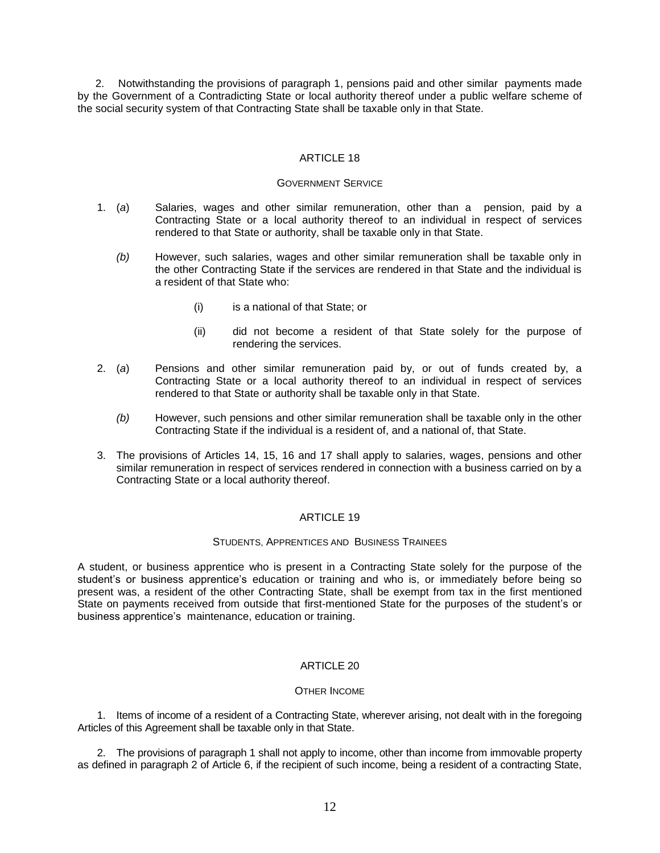2. Notwithstanding the provisions of paragraph 1, pensions paid and other similar payments made by the Government of a Contradicting State or local authority thereof under a public welfare scheme of the social security system of that Contracting State shall be taxable only in that State.

## **ARTICLE 18**

#### GOVERNMENT SERVICE

- 1. (*a*) Salaries, wages and other similar remuneration, other than a pension, paid by a Contracting State or a local authority thereof to an individual in respect of services rendered to that State or authority, shall be taxable only in that State.
	- *(b)* However, such salaries, wages and other similar remuneration shall be taxable only in the other Contracting State if the services are rendered in that State and the individual is a resident of that State who:
		- (i) is a national of that State; or
		- (ii) did not become a resident of that State solely for the purpose of rendering the services.
- 2. (*a*) Pensions and other similar remuneration paid by, or out of funds created by, a Contracting State or a local authority thereof to an individual in respect of services rendered to that State or authority shall be taxable only in that State.
	- *(b)* However, such pensions and other similar remuneration shall be taxable only in the other Contracting State if the individual is a resident of, and a national of, that State.
- 3. The provisions of Articles 14, 15, 16 and 17 shall apply to salaries, wages, pensions and other similar remuneration in respect of services rendered in connection with a business carried on by a Contracting State or a local authority thereof.

## ARTICLE 19

## STUDENTS, APPRENTICES AND BUSINESS TRAINEES

A student, or business apprentice who is present in a Contracting State solely for the purpose of the student's or business apprentice's education or training and who is, or immediately before being so present was, a resident of the other Contracting State, shall be exempt from tax in the first mentioned State on payments received from outside that first-mentioned State for the purposes of the student's or business apprentice's maintenance, education or training.

## ARTICLE 20

## OTHER INCOME

1. Items of income of a resident of a Contracting State, wherever arising, not dealt with in the foregoing Articles of this Agreement shall be taxable only in that State.

2. The provisions of paragraph 1 shall not apply to income, other than income from immovable property as defined in paragraph 2 of Article 6, if the recipient of such income, being a resident of a contracting State,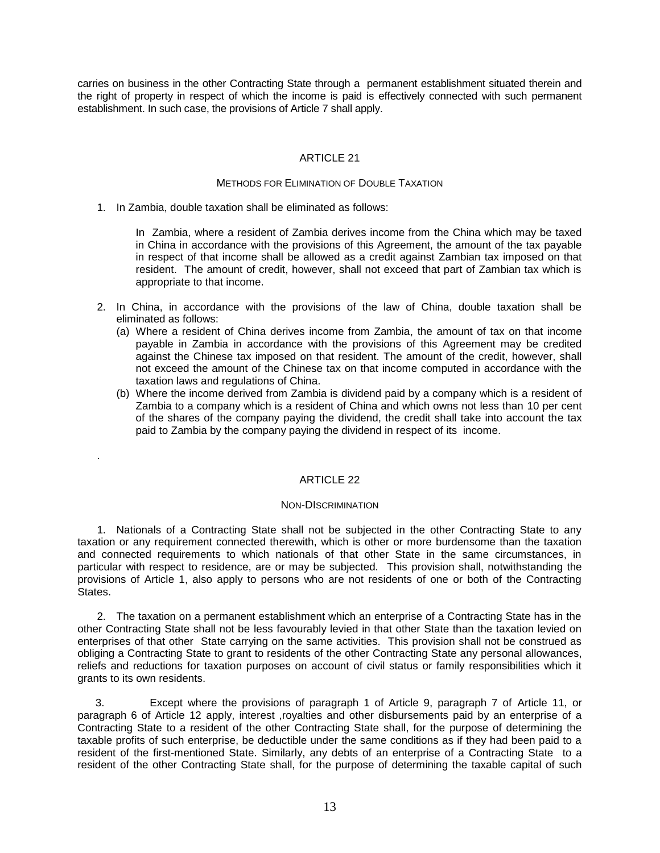carries on business in the other Contracting State through a permanent establishment situated therein and the right of property in respect of which the income is paid is effectively connected with such permanent establishment. In such case, the provisions of Article 7 shall apply.

# ARTICLE 21

#### METHODS FOR ELIMINATION OF DOUBLE TAXATION

1. In Zambia, double taxation shall be eliminated as follows:

.

In Zambia, where a resident of Zambia derives income from the China which may be taxed in China in accordance with the provisions of this Agreement, the amount of the tax payable in respect of that income shall be allowed as a credit against Zambian tax imposed on that resident. The amount of credit, however, shall not exceed that part of Zambian tax which is appropriate to that income.

- 2. In China, in accordance with the provisions of the law of China, double taxation shall be eliminated as follows:
	- (a) Where a resident of China derives income from Zambia, the amount of tax on that income payable in Zambia in accordance with the provisions of this Agreement may be credited against the Chinese tax imposed on that resident. The amount of the credit, however, shall not exceed the amount of the Chinese tax on that income computed in accordance with the taxation laws and regulations of China.
	- (b) Where the income derived from Zambia is dividend paid by a company which is a resident of Zambia to a company which is a resident of China and which owns not less than 10 per cent of the shares of the company paying the dividend, the credit shall take into account the tax paid to Zambia by the company paying the dividend in respect of its income.

## ARTICLE 22

## NON-DISCRIMINATION

1. Nationals of a Contracting State shall not be subjected in the other Contracting State to any taxation or any requirement connected therewith, which is other or more burdensome than the taxation and connected requirements to which nationals of that other State in the same circumstances, in particular with respect to residence, are or may be subjected. This provision shall, notwithstanding the provisions of Article 1, also apply to persons who are not residents of one or both of the Contracting States.

2. The taxation on a permanent establishment which an enterprise of a Contracting State has in the other Contracting State shall not be less favourably levied in that other State than the taxation levied on enterprises of that other State carrying on the same activities. This provision shall not be construed as obliging a Contracting State to grant to residents of the other Contracting State any personal allowances, reliefs and reductions for taxation purposes on account of civil status or family responsibilities which it grants to its own residents.

 3. Except where the provisions of paragraph 1 of Article 9, paragraph 7 of Article 11, or paragraph 6 of Article 12 apply, interest ,royalties and other disbursements paid by an enterprise of a Contracting State to a resident of the other Contracting State shall, for the purpose of determining the taxable profits of such enterprise, be deductible under the same conditions as if they had been paid to a resident of the first-mentioned State. Similarly, any debts of an enterprise of a Contracting State to a resident of the other Contracting State shall, for the purpose of determining the taxable capital of such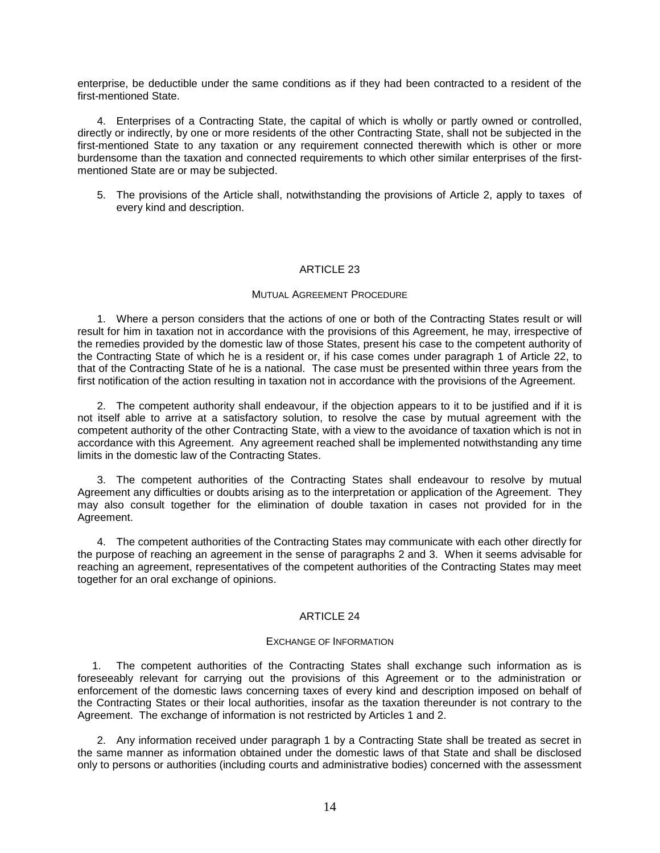enterprise, be deductible under the same conditions as if they had been contracted to a resident of the first-mentioned State.

4. Enterprises of a Contracting State, the capital of which is wholly or partly owned or controlled, directly or indirectly, by one or more residents of the other Contracting State, shall not be subjected in the first-mentioned State to any taxation or any requirement connected therewith which is other or more burdensome than the taxation and connected requirements to which other similar enterprises of the firstmentioned State are or may be subjected.

5. The provisions of the Article shall, notwithstanding the provisions of Article 2, apply to taxes of every kind and description.

# ARTICLE 23

#### MUTUAL AGREEMENT PROCEDURE

1. Where a person considers that the actions of one or both of the Contracting States result or will result for him in taxation not in accordance with the provisions of this Agreement, he may, irrespective of the remedies provided by the domestic law of those States, present his case to the competent authority of the Contracting State of which he is a resident or, if his case comes under paragraph 1 of Article 22, to that of the Contracting State of he is a national. The case must be presented within three years from the first notification of the action resulting in taxation not in accordance with the provisions of the Agreement.

2. The competent authority shall endeavour, if the objection appears to it to be justified and if it is not itself able to arrive at a satisfactory solution, to resolve the case by mutual agreement with the competent authority of the other Contracting State, with a view to the avoidance of taxation which is not in accordance with this Agreement. Any agreement reached shall be implemented notwithstanding any time limits in the domestic law of the Contracting States.

3. The competent authorities of the Contracting States shall endeavour to resolve by mutual Agreement any difficulties or doubts arising as to the interpretation or application of the Agreement. They may also consult together for the elimination of double taxation in cases not provided for in the Agreement.

4. The competent authorities of the Contracting States may communicate with each other directly for the purpose of reaching an agreement in the sense of paragraphs 2 and 3. When it seems advisable for reaching an agreement, representatives of the competent authorities of the Contracting States may meet together for an oral exchange of opinions.

## ARTICLE 24

#### EXCHANGE OF INFORMATION

1. The competent authorities of the Contracting States shall exchange such information as is foreseeably relevant for carrying out the provisions of this Agreement or to the administration or enforcement of the domestic laws concerning taxes of every kind and description imposed on behalf of the Contracting States or their local authorities, insofar as the taxation thereunder is not contrary to the Agreement. The exchange of information is not restricted by Articles 1 and 2.

2. Any information received under paragraph 1 by a Contracting State shall be treated as secret in the same manner as information obtained under the domestic laws of that State and shall be disclosed only to persons or authorities (including courts and administrative bodies) concerned with the assessment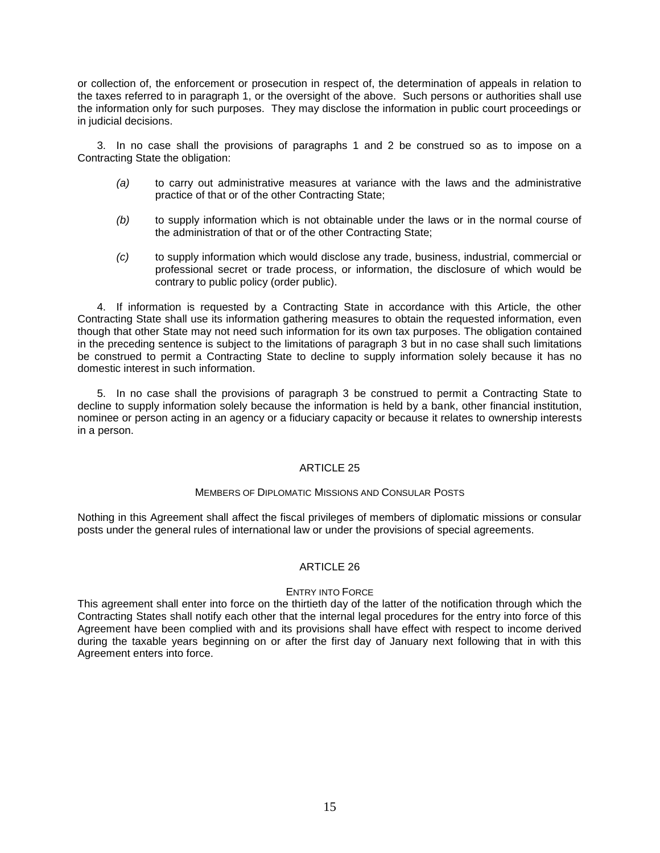or collection of, the enforcement or prosecution in respect of, the determination of appeals in relation to the taxes referred to in paragraph 1, or the oversight of the above. Such persons or authorities shall use the information only for such purposes. They may disclose the information in public court proceedings or in judicial decisions.

3. In no case shall the provisions of paragraphs 1 and 2 be construed so as to impose on a Contracting State the obligation:

- *(a)* to carry out administrative measures at variance with the laws and the administrative practice of that or of the other Contracting State;
- *(b)* to supply information which is not obtainable under the laws or in the normal course of the administration of that or of the other Contracting State;
- *(c)* to supply information which would disclose any trade, business, industrial, commercial or professional secret or trade process, or information, the disclosure of which would be contrary to public policy (order public).

4. If information is requested by a Contracting State in accordance with this Article, the other Contracting State shall use its information gathering measures to obtain the requested information, even though that other State may not need such information for its own tax purposes. The obligation contained in the preceding sentence is subject to the limitations of paragraph 3 but in no case shall such limitations be construed to permit a Contracting State to decline to supply information solely because it has no domestic interest in such information.

5. In no case shall the provisions of paragraph 3 be construed to permit a Contracting State to decline to supply information solely because the information is held by a bank, other financial institution, nominee or person acting in an agency or a fiduciary capacity or because it relates to ownership interests in a person.

# ARTICLE 25

## MEMBERS OF DIPLOMATIC MISSIONS AND CONSULAR POSTS

Nothing in this Agreement shall affect the fiscal privileges of members of diplomatic missions or consular posts under the general rules of international law or under the provisions of special agreements.

## ARTICLE 26

## ENTRY INTO FORCE

This agreement shall enter into force on the thirtieth day of the latter of the notification through which the Contracting States shall notify each other that the internal legal procedures for the entry into force of this Agreement have been complied with and its provisions shall have effect with respect to income derived during the taxable years beginning on or after the first day of January next following that in with this Agreement enters into force.